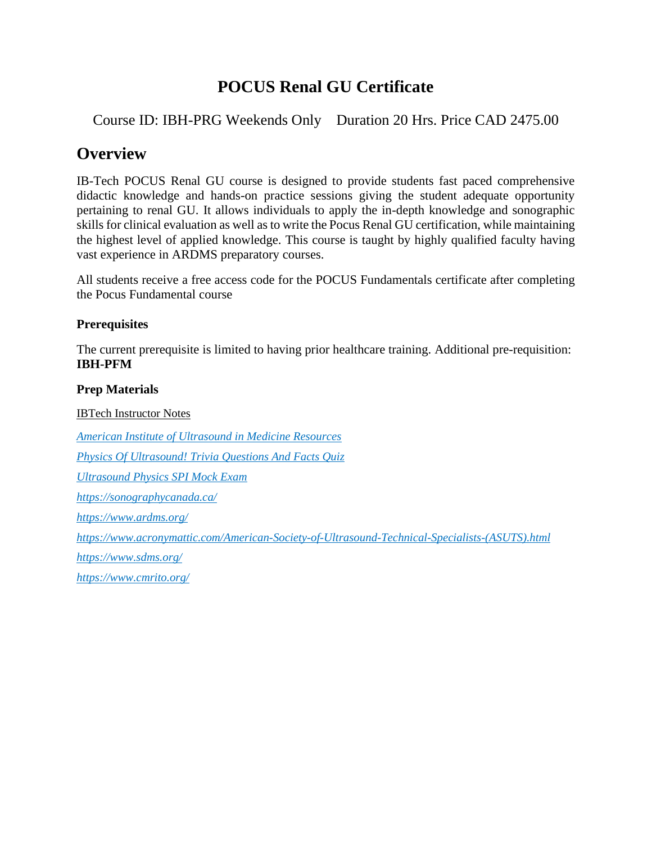## **POCUS Renal GU Certificate**

Course ID: IBH-PRG Weekends Only Duration 20 Hrs. Price CAD 2475.00

### **Overview**

IB-Tech POCUS Renal GU course is designed to provide students fast paced comprehensive didactic knowledge and hands-on practice sessions giving the student adequate opportunity pertaining to renal GU. It allows individuals to apply the in-depth knowledge and sonographic skills for clinical evaluation as well as to write the Pocus Renal GU certification, while maintaining the highest level of applied knowledge. This course is taught by highly qualified faculty having vast experience in ARDMS preparatory courses.

All students receive a free access code for the POCUS Fundamentals certificate after completing the Pocus Fundamental course

#### **Prerequisites**

The current prerequisite is limited to having prior healthcare training. Additional pre-requisition: **IBH-PFM**

#### **Prep Materials**

IBTech Instructor Notes *[American Institute of Ultrasound in Medicine Resources](https://www.aium.org/resources/resources.aspx) [Physics Of Ultrasound! Trivia Questions And Facts Quiz](https://www.proprofs.com/quiz-school/story.php?title=ultrasound-physics_2) [Ultrasound Physics SPI Mock Exam](https://quizlet.com/24804151/ultrasound-physics-_spi_-mock-exam-questions-flash-cards/) <https://sonographycanada.ca/> <https://www.ardms.org/> [https://www.acronymattic.com/American-Society-of-Ultrasound-Technical-Specialists-\(ASUTS\).html](https://www.acronymattic.com/American-Society-of-Ultrasound-Technical-Specialists-(ASUTS).html) <https://www.sdms.org/> https://www.cmrito.org/*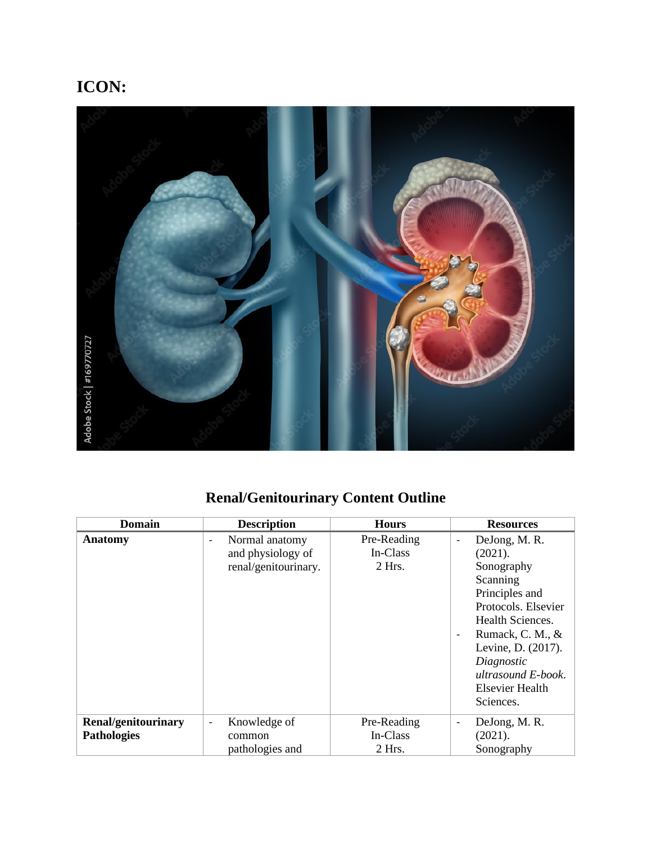**ICON:**



# **Renal/Genitourinary Content Outline**

| <b>Domain</b>              | <b>Description</b>                                                                      | <b>Hours</b>                      | <b>Resources</b>                                                                                                                                                                                                                               |
|----------------------------|-----------------------------------------------------------------------------------------|-----------------------------------|------------------------------------------------------------------------------------------------------------------------------------------------------------------------------------------------------------------------------------------------|
| <b>Anatomy</b>             | Normal anatomy<br>$\overline{\phantom{0}}$<br>and physiology of<br>renal/genitourinary. | Pre-Reading<br>In-Class<br>2 Hrs. | DeJong, M.R.<br>$\overline{a}$<br>(2021).<br>Sonography<br>Scanning<br>Principles and<br>Protocols. Elsevier<br>Health Sciences.<br>Rumack, C. M., &<br>Levine, D. (2017).<br>Diagnostic<br>ultrasound E-book.<br>Elsevier Health<br>Sciences. |
| <b>Renal/genitourinary</b> | Knowledge of<br>$\qquad \qquad \blacksquare$                                            | Pre-Reading                       | DeJong, M.R.<br>$\qquad \qquad \blacksquare$                                                                                                                                                                                                   |
| <b>Pathologies</b>         | common                                                                                  | In-Class                          | (2021).                                                                                                                                                                                                                                        |
|                            | pathologies and                                                                         | 2 Hrs.                            | Sonography                                                                                                                                                                                                                                     |